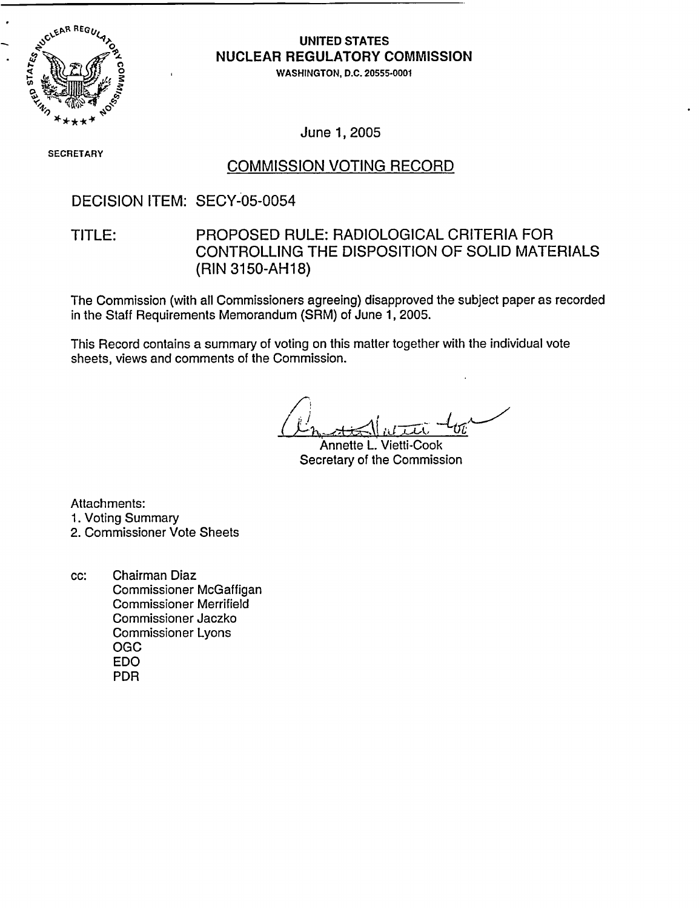

## **UNITED STATES NUCLEAR** REGULATORY COMMISSION

.WASHINGTON, D.C. 20555-0001

June 1, 2005

**SECRETARY** 

### COMMISSION VOTING RECORD

### DECISION ITEM: SECY-05-0054

## TITLE: PROPOSED RULE: RADIOLOGICAL CRITERIA FOR CONTROLLING THE DISPOSITION OF SOLID MATERIALS (RIN 3150-AH18)

The Commission (with all Commissioners agreeing) disapproved the subject paper as recorded in the Staff Requirements Memorandum (SRM) of June 1, 2005.

This Record contains a summary of voting on this matter together with the individual vote sheets, views and comments of the Commission.

Annette L. Vietti-Cook Secretary of the Commission

Attachments: 1. Voting Summary 2. Commissioner Vote Sheets

cc: Chairman Diaz Commissioner McGaffigan Commissioner Merrifield Commissioner Jaczko Commissioner Lyons OGC EDO PDR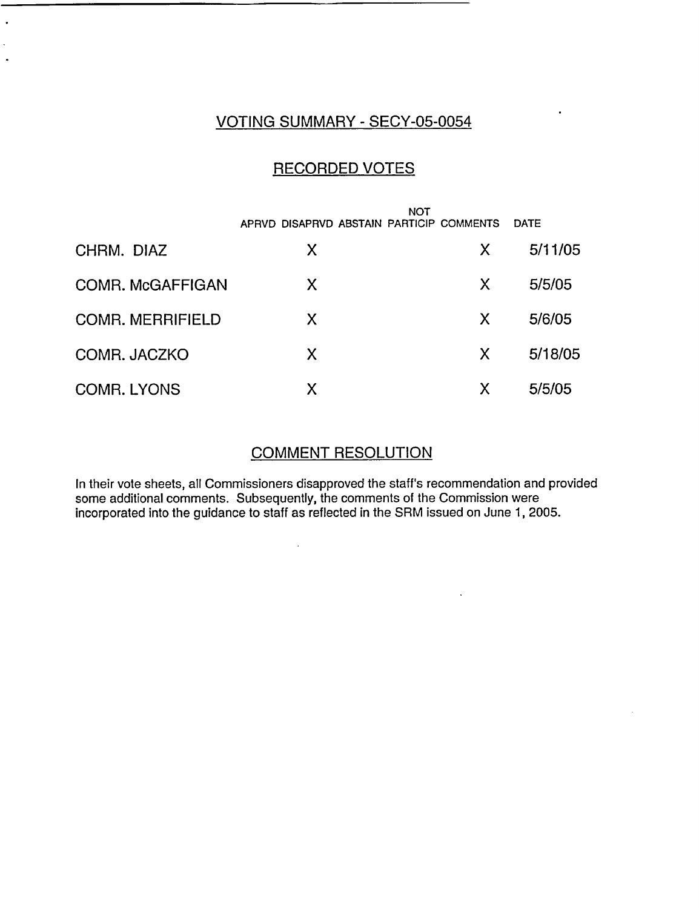## VOTING SUMMARY - SECY-05-0054

 $\ddot{\phantom{a}}$ 

 $\overline{\phantom{a}}$ 

## RECORDED VOTES

|                         | APRVD DISAPRVD ABSTAIN PARTICIP COMMENTS | <b>NOT</b> | <b>DATE</b> |
|-------------------------|------------------------------------------|------------|-------------|
| CHRM. DIAZ              | X                                        | X          | 5/11/05     |
| COMR. McGAFFIGAN        | X.                                       | X          | 5/5/05      |
| <b>COMR. MERRIFIELD</b> | X                                        | X          | 5/6/05      |
| COMR. JACZKO            | X                                        | X          | 5/18/05     |
| <b>COMR. LYONS</b>      | X                                        | X          | 5/5/05      |

### COMMENT RESOLUTION

In their vote sheets, all Commissioners disapproved the staff's recommendation and provided some additional comments. Subsequently, the comments of the Commission were incorporated into the guidance to staff as reflected in the SRM issued on June 1, 2005.

 $\bar{\mathbf{v}}$ 

 $\hat{\mathcal{A}}$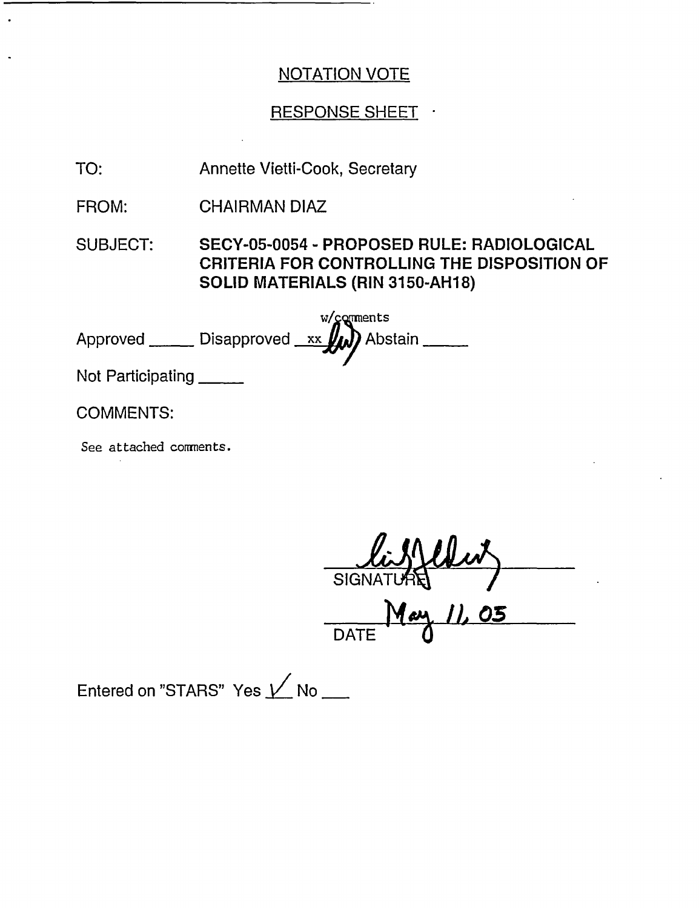# RESPONSE SHEET

TO: Annette Vietti-Cook, Secretary

FROM: CHAIRMAN DIAZ

SUBJECT: SECY-05-0054 - PROPOSED RULE: RADIOLOGICAL CRITERIA FOR CONTROLLING THE DISPOSITION OF SOLID MATERIALS (RIN 3150-AH18)

|            | $w/gq$ ments                           |  |
|------------|----------------------------------------|--|
| Approved _ | __ Disapproved _xx <b>////</b> Abstain |  |

Not Participating

COMMENTS:

See attached comnents.

SIGNA

 $M$ ay 11 DATE

Entered on "STARS" Yes  $\nu$  No \_\_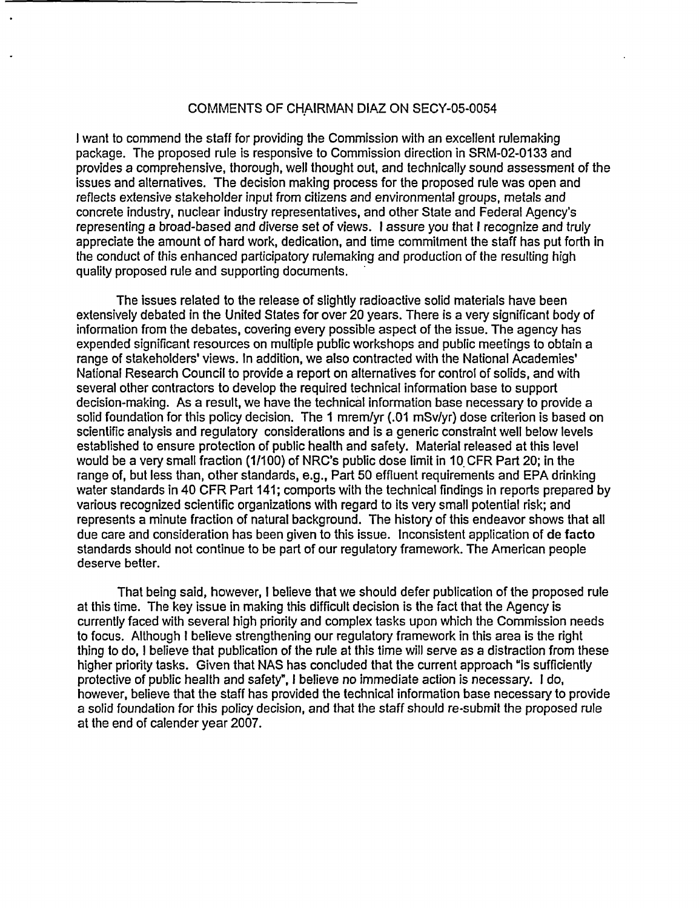#### COMMENTS OF CHAIRMAN DIAZ ON SECY-05-0054

I want to commend the staff for providing the Commission with an excellent rulemaking package. The proposed rule is responsive to Commission direction in SRM-02-0133 and provides a comprehensive, thorough, well thought out, and technically sound assessment of the issues and alternatives. The decision making process for the proposed rule was open and reflects extensive stakeholder input from citizens and environmental groups, metals and concrete industry, nuclear industry representatives, and other State and Federal Agency's representing a broad-based and diverse set of views. I assure you that I recognize and truly appreciate the amount of hard work, dedication, and time commitment the staff has put forth in the conduct of this enhanced participatory rulemaking and production of the resulting high quality proposed rule and supporting documents.

The issues related to the release of slightly radioactive solid materials have been extensively debated in the United States for over 20 years. There is a very significant body of information from the debates, covering every possible aspect of the issue. The agency has expended significant resources on multiple public workshops and public meetings to obtain a range of stakeholders' views. In addition, we also contracted with the National Academies' National Research Council to provide a report on alternatives for control of solids, and with several other contractors to develop the required technical information base to support decision-making. As a result, we have the technical information base necessary to provide a solid foundation for this policy decision. The 1 mremlyr (.01 mSv/yr) dose criterion is based on scientific analysis and regulatory considerations and is a generic constraint well below levels established to ensure protection of public health and safety. Material released at this level would be a very small fraction (1/100) of NRC's public dose limit in 10. CFR Part 20; in the range of, but less than, other standards, e.g., Part 50 effluent requirements and EPA drinking water standards in 40 CFR Part 141; comports with the technical findings in reports prepared by various recognized scientific organizations with regard to its very small potential risk; and represents a minute fraction of natural background. The history of this endeavor shows that all due care and consideration has been given to this issue. Inconsistent application of de facto standards should not continue to be part of our regulatory framework. The American people deserve better.

That being said, however, I believe that we should defer publication of the proposed rule at this time. The key issue in making this difficult decision is the fact that the Agency is currently faced with several high priority and complex tasks upon which the Commission needs to focus. Although I believe strengthening our regulatory framework in this area is the right thing to do, I believe that publication of the rule at this time will serve as a distraction from these higher priority tasks. Given that NAS has concluded that the current approach "is sufficiently protective of public health and safety", I believe no immediate action is necessary. I do, however, believe that the staff has provided the technical information base necessary to provide a solid foundation for this policy decision, and that the staff should re-submit the proposed rule at the end of calender year 2007.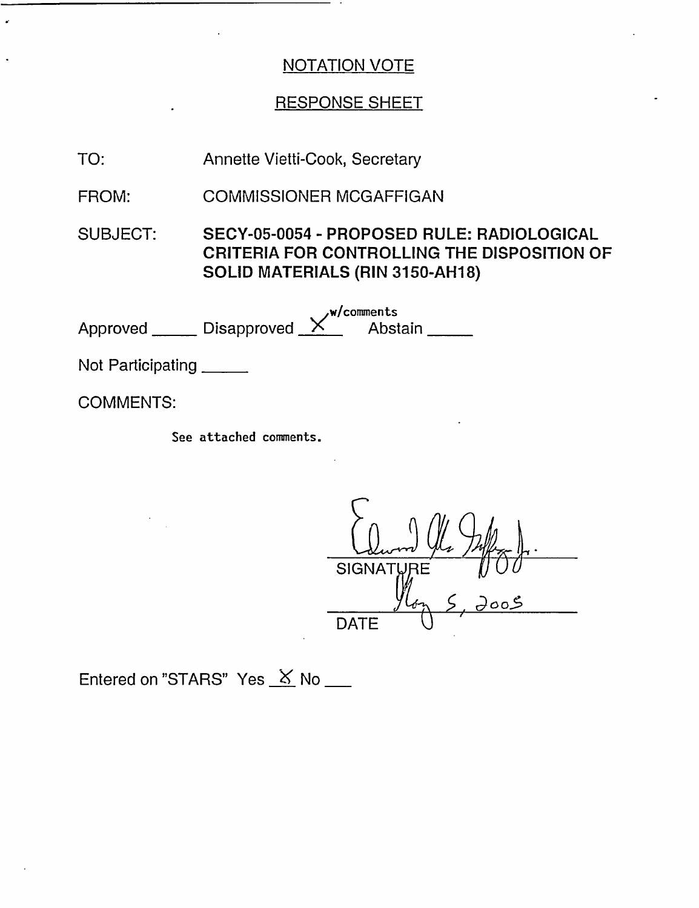## RESPONSE SHEET

TO: Annette Vietti-Cook, Secretary

FROM: COMMISSIONER MCGAFFIGAN

SUBJECT: SECY-05-0054 - PROPOSED RULE: RADIOLOGICAL CRITERIA FOR CONTROLLING THE DISPOSITION OF SOLID MATERIALS (RIN 3150-AH18)

Approved \_\_\_\_\_\_\_ Disapproved w/comments Disapproved X Abstain

Not Participating

COMMENTS:

See attached comments.

Column 4 lle Juffer SIGNAT  $y_{4\gamma}$   $\zeta$ ,  $\partial \circ \circ \zeta$ **DATE** 

Entered on "STARS" Yes  $X$  No \_\_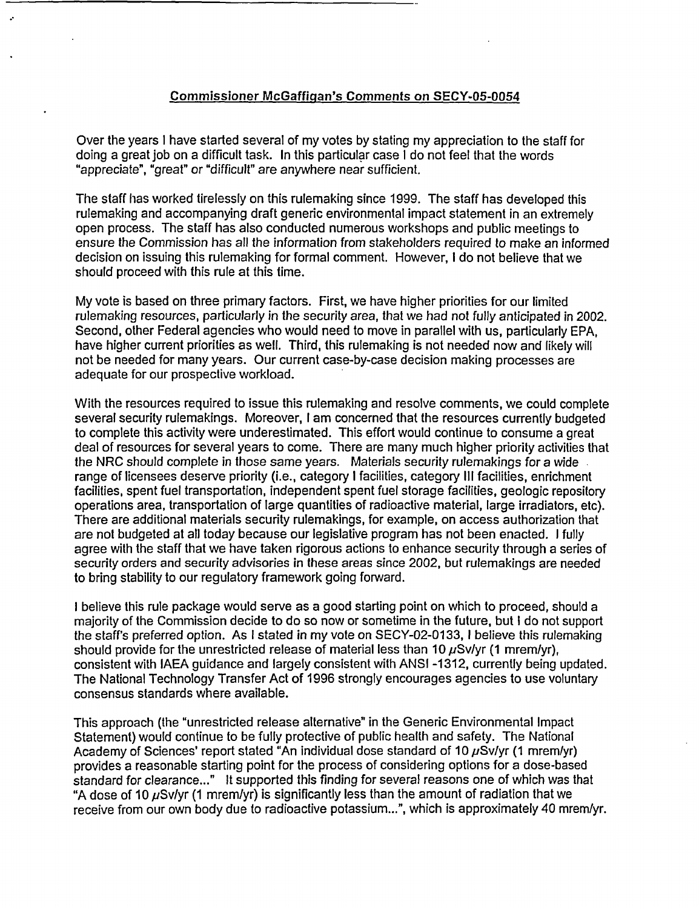#### Commissioner McGaffigan's Comments on SECY-05-0054

Over the years I have started several of my votes by stating my appreciation to the staff for doing a great job on a difficult task. In this particular case I do not feel that the words "appreciate", "great" or "difficult" are anywhere near sufficient.

The staff has worked tirelessly on this rulemaking since 1999. The staff has developed this rulemaking and accompanying draft generic environmental impact statement in an extremely open process. The staff has also conducted numerous workshops and public meetings to ensure the Commission has all the information from stakeholders required to make an informed decision on issuing this rulemaking for formal comment. However, I do not believe that we should proceed with this rule at this time.

My vote is based on three primary factors. First, we have higher priorities for our limited rulemaking resources, particularly in the security area, that we had not fully anticipated in 2002. Second, other Federal agencies who would need to move in parallel with us, particularly EPA, have higher current priorities as well. Third, this rulemaking is not needed now and likely will not be needed for many years. Our current case-by-case decision making processes are adequate for our prospective workload.

With the resources required to issue this rulemaking and resolve comments, we could complete several security rulemakings. Moreover, I am concerned that the resources currently budgeted to complete this activity were underestimated. This effort would continue to consume a great deal of resources for several years to come. There are many much higher priority activities that the NRC should complete in those same years. Materials security rulemakings for a wide range of licensees deserve priority (i.e., category I facilities, category lIl facilities, enrichment facilities, spent fuel transportation, independent spent fuel storage facilities, geologic repository operations area, transportation of large quantities of radioactive material, large irradiators, etc). There are additional materials security rulemakings, for example, on access authorization that are not budgeted at all today because our legislative program has not been enacted. I fully agree with the staff that we have taken rigorous actions to enhance security through a series of security orders and security advisories in these areas since 2002, but rulemakings are needed to bring stability to our regulatory framework going forward.

I believe this rule package would serve as a good starting point on which to proceed, should a majority of the Commission decide to do so now or sometime in the future, but I do not support the staff's preferred option. As I stated in my vote on SECY-02-0133, I believe this rulemaking should provide for the unrestricted release of material less than 10  $\mu$ Sv/yr (1 mrem/yr), consistent with IAEA guidance and largely consistent with ANSI -1312, currently being updated. The National Technology Transfer Act of 1996 strongly encourages agencies to use voluntary consensus standards where available.

This approach (the "unrestricted release alternative" in the Generic Environmental Impact Statement) would continue to be fully protective of public health and safety. The National Academy of Sciences' report stated "An individual dose standard of 10  $\mu$ Sv/yr (1 mrem/yr) provides a reasonable starting point for the process of considering options for a dose-based standard for clearance..." It supported this finding for several reasons one of which was that "A dose of 10  $\mu$ Sv/yr (1 mrem/yr) is significantly less than the amount of radiation that we receive from our own body due to radioactive potassium...", which is approximately 40 mrem/yr.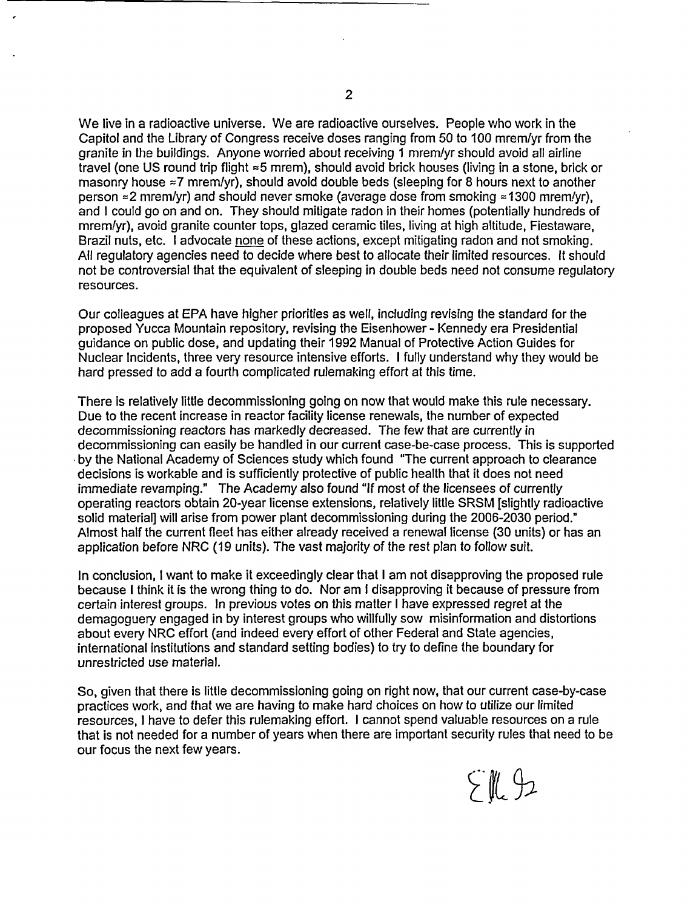We live in a radioactive universe. We are radioactive ourselves. People who work in the Capitol and the Library of Congress receive doses ranging from 50 to 100 mrem/yr from the granite in the buildings. Anyone worried about receiving 1 mrem/yr should avoid all airline travel (one US round trip flight =5 mrem), should avoid brick houses (living in a stone, brick or masonry house  $\approx$ 7 mrem/yr), should avoid double beds (sleeping for 8 hours next to another person  $\approx$  2 mrem/yr) and should never smoke (average dose from smoking  $\approx$  1300 mrem/yr), and I could go on and on. They should mitigate radon in their homes (potentially hundreds of mremlyr), avoid granite counter tops, glazed ceramic tiles, living at high altitude, Fiestaware, Brazil nuts, etc. I advocate none of these actions, except mitigating radon and not smoking. All regulatory agencies need to decide where best to allocate their limited resources. It should not be controversial that the equivalent of sleeping in double beds need not consume regulatory resources.

Our colleagues at EPA have higher priorities as well, including revising the standard for the proposed Yucca Mountain repository, revising the Eisenhower - Kennedy era Presidential guidance on public dose, and updating their 1992 Manual of Protective Action Guides for Nuclear Incidents, three very resource intensive efforts. I fully understand why they would be hard pressed to add a fourth complicated rulemaking effort at this time.

There is relatively little decommissioning going on now that would make this rule necessary. Due to the recent increase in reactor facility license renewals, the number of expected decommissioning reactors has markedly decreased. The few that are currently in decommissioning can easily be handled in our current case-be-case process. This is supported by the National Academy of Sciences study which found "The current approach to clearance decisions is workable and is sufficiently protective of public health that it does not need immediate revamping." The Academy also found "If most of the licensees of currently operating reactors obtain 20-year license extensions, relatively little SRSM [slightly radioactive solid materiall will arise from power plant decommissioning during the 2006-2030 period.' Almost half the current fleet has either already received a renewal license (30 units) or has an application before NRC (19 units). The vast majority of the rest plan to follow suit.

In conclusion, I want to make it exceedingly clear that I am not disapproving the proposed rule because I think it is the wrong thing to do. Nor am I disapproving it because of pressure from certain interest groups. In previous votes on this matter I have expressed regret at the demagoguery engaged in by interest groups who willfully sow misinformation and distortions about every NRC effort (and indeed every effort of other Federal and State agencies, international institutions and standard setting bodies) to try to define the boundary for unrestricted use material.

So, given that there is little decommissioning going on right now, that our current case-by-case practices work, and that we are having to make hard choices on how to utilize our limited resources, I have to defer this rulemaking effort. I cannot spend valuable resources on a rule that is not needed for a number of years when there are important security rules that need to be our focus the next few years.

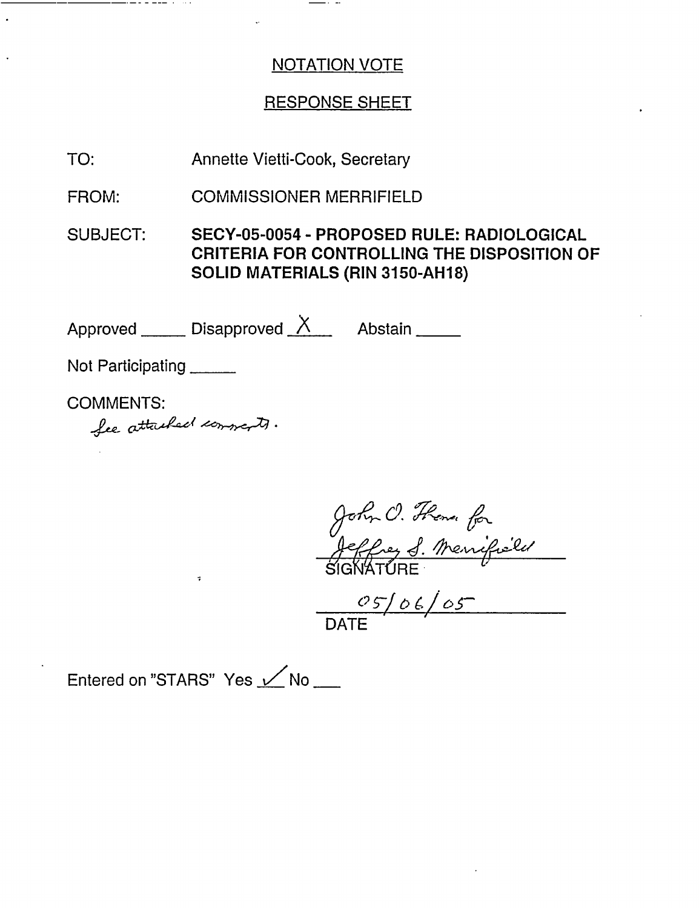## RESPONSE SHEET

TO: Annette Vietti-Cook, Secretary

FROM: COMMISSIONER MERRIFIELD

SUBJECT: SECY-05-0054 - PROPOSED RULE: RADIOLOGICAL CRITERIA FOR CONTROLLING THE DISPOSITION OF SOLID MATERIALS (RIN 3150-AH18)

Approved  $\overline{\phantom{a}}$  Disapproved  $\overline{\phantom{a}}$  Abstain  $\overline{\phantom{a}}$ 

Not Participating \_\_\_\_\_\_\_

COMMENTS:

*At,-* **atz** <sup>4</sup> <sup>~</sup>**.**

John C. F.  $\overline{\phantom{a}}$ Jeffrey <u>of Menyfield</u><br>SIGNATURE

DATE i

Entered on "STARS" Yes  $\nu$  No  $\mu$ 

 $\ddot{\phantom{0}}$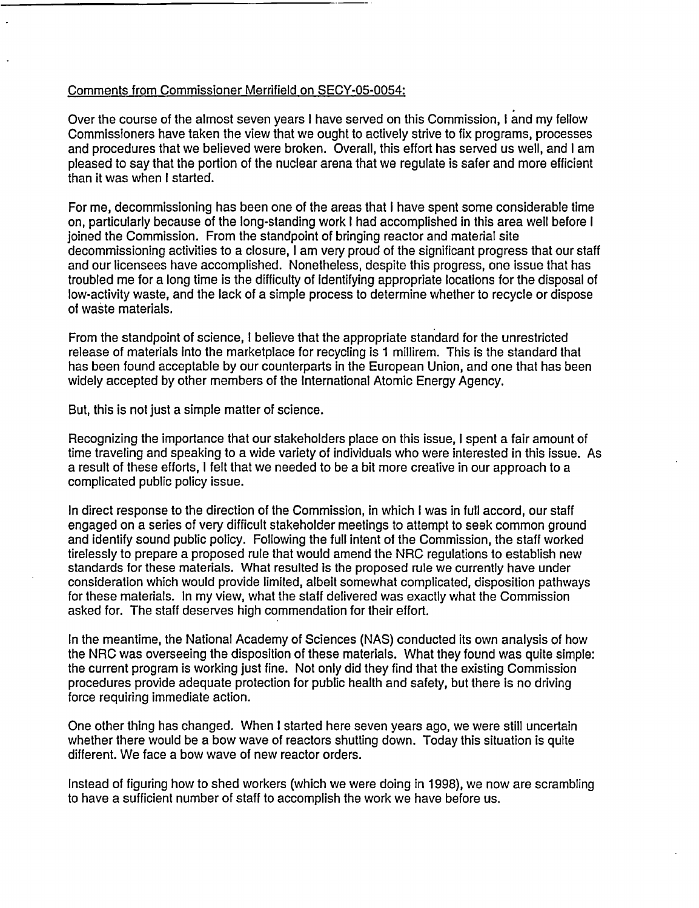#### Comments from Commissioner Merrifield on SECY-05-0054:

Over the course of the almost seven years I have served on this Commission, I and my fellow Commissioners have taken the view that we ought to actively strive to fix programs, processes and procedures that we believed were broken. Overall, this effort has served us well, and I am pleased to say that the portion of the nuclear arena that we regulate is safer and more efficient than it was when I started.

For me, decommissioning has been one of the areas that I have spent some considerable time on, particularly because of the long-standing work I had accomplished in this area well before I joined the Commission. From the standpoint of bringing reactor and material site decommissioning activities to a closure, I am very proud of the significant progress that our staff and our licensees have accomplished. Nonetheless, despite this progress, one issue that has troubled me for a long time is the difficulty of identifying appropriate locations for the disposal of low-activity waste, and the lack of a simple process to determine whether to recycle or dispose of waste materials.

From the standpoint of science, I believe that the appropriate standard for the unrestricted release of materials into the marketplace for recycling is 1 millirem. This is the standard that has been found acceptable by our counterparts in the European Union, and one that has been widely accepted by other members of the International Atomic Energy Agency.

But, this is not just a simple matter of science.

Recognizing the importance that our stakeholders place on this issue, I spent a fair amount of time traveling and speaking to a wide variety of individuals who were interested in this issue. As a result of these efforts, I felt that we needed to be a bit more creative in our approach to a complicated public policy issue.

In direct response to the direction of the Commission, in which I was in full accord, our staff engaged on a series of very difficult stakeholder meetings to attempt to seek common ground and identify sound public policy. Following the full intent of the Commission, the staff worked tirelessly to prepare a proposed rule that would amend the NRC regulations to establish new standards for these materials. What resulted is the proposed rule we currently have under consideration which would provide limited, albeit somewhat complicated, disposition pathways for these materials. In my view, what the staff delivered was exactly what the Commission asked for. The staff deserves high commendation for their effort.

In the meantime, the National Academy of Sciences (NAS) conducted its own analysis of how the NRC was overseeing the disposition of these materials. What they found was quite simple: the current program is working just fine. Not only did they find that the existing Commission procedures provide adequate protection for public health and safety, but there is no driving force requiring immediate action.

One other thing has changed. When I started here seven years ago, we were still uncertain whether there would be a bow wave of reactors shutting down. Today this situation is quite different. We face a bow wave of new reactor orders.

Instead of figuring how to shed workers (which we were doing in 1998), we now are scrambling to have a sufficient number of staff to accomplish the work we have before us.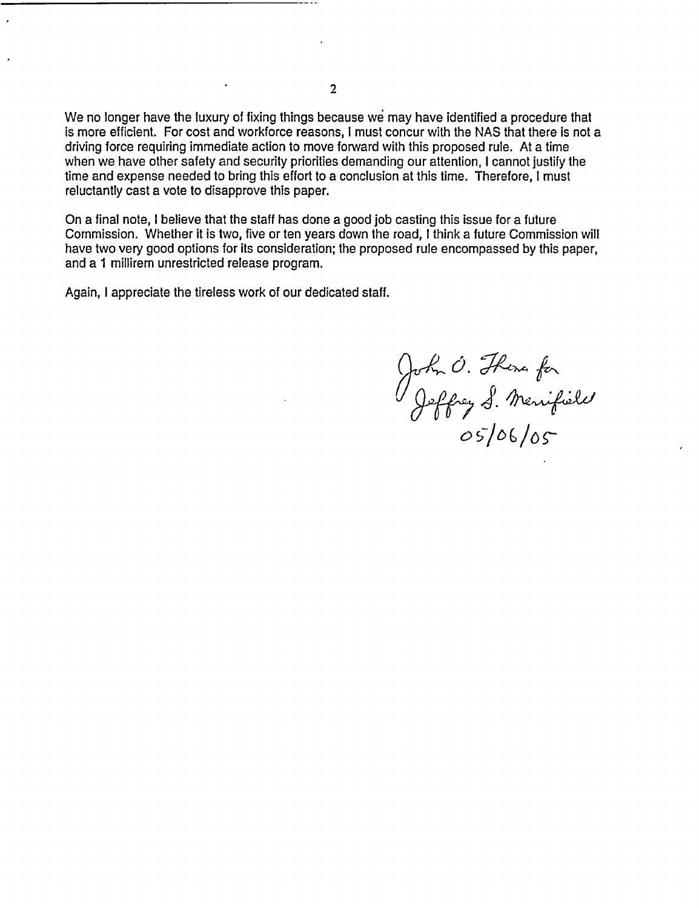We no longer have the luxury of fixing things because we may have identified a procedure that is more efficient. For cost and workforce reasons, I must concur with the NAS that there is not a driving force requiring immediate action to move forward with this proposed rule. At a time when we have other safety and security priorities demanding our attention, I cannot justify the time and expense needed to bring this effort to a conclusion at this time. Therefore, I must reluctantly cast a vote to disapprove this paper.

On a final note, I believe that the staff has done a good job casting this issue for a future Commission. Whether it is two, five or ten years down the road, I think a future Commission will have two very good options for its consideration; the proposed rule encompassed by this paper, and a 1 millirem unrestricted release program.

Again, I appreciate the tireless work of our dedicated staff.

John O. Thoma for<br>Jeffrey S. Menifield<br>O5/06/05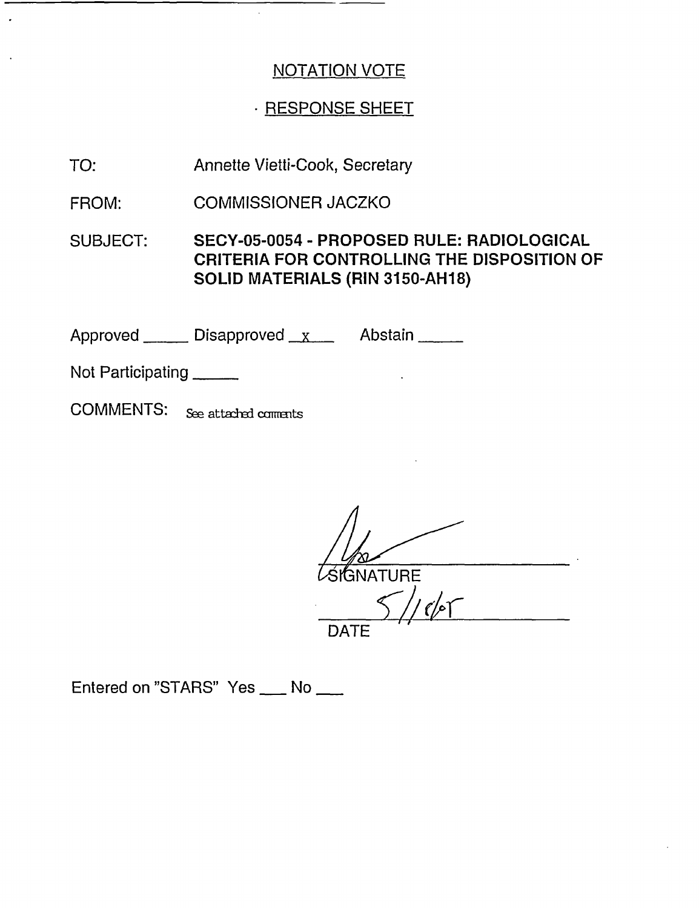# · RESPONSE SHEET

Annette Vietti-Cook, Secretary TO:

COMMISSIONER JACZKO FROM:

SUBJECT: SECY-05-0054 - PROPOSED RULE: RADIOLOGICAL **CRITERIA FOR CONTROLLING THE DISPOSITION OF SOLID MATERIALS (RIN 3150-AH18)**

Approved Disapproved X Abstain

Not Participating

COMMENTS: See attached comments

**IGNATURE** 

*I//Ar*  $\tau$ DATE

Entered on "STARS" Yes \_\_\_ No \_\_\_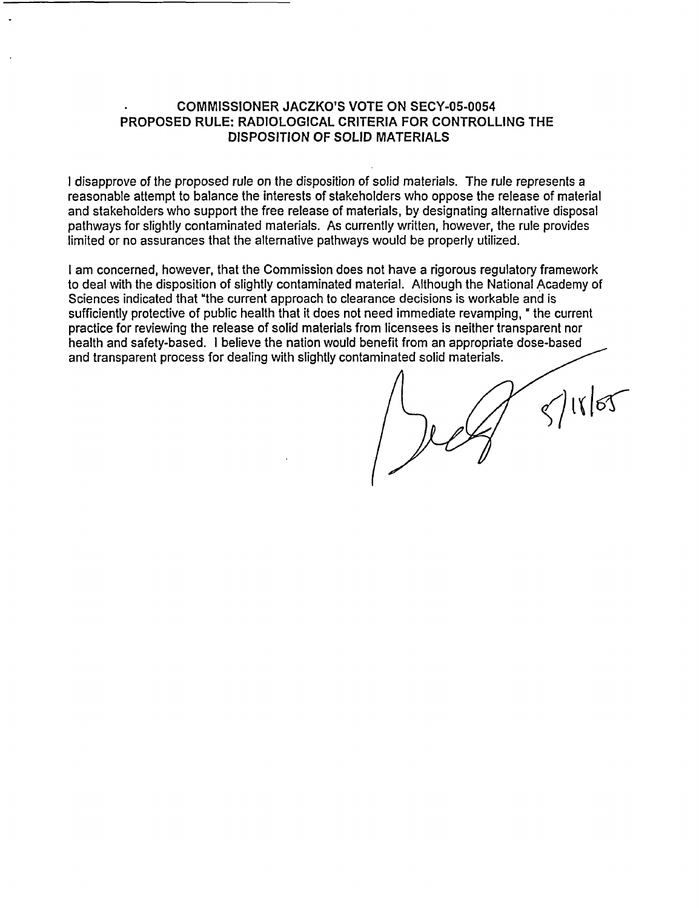#### **COMMISSIONER JACZKO'S VOTE ON SECY-05-0054 PROPOSED RULE: RADIOLOGICAL CRITERIA FOR CONTROLLING THE DISPOSITION OF SOLID MATERIALS**

**I** disapprove of the proposed rule on the disposition of solid materials. The rule represents a reasonable attempt to balance the interests of stakeholders who oppose the release of material and stakeholders who support the free release of materials, by designating alternative disposal pathways for slightly contaminated materials. As currently written, however, the rule provides limited or no assurances that the alternative pathways would be properly utilized.

I am concerned, however, that the Commission does not have a rigorous regulatory framework to deal with the disposition of slightly contaminated material. Although the National Academy of Sciences indicated that "the current approach to clearance decisions is workable and is sufficiently protective of public health that it does not need immediate revamping, " the current practice for reviewing the release of solid materials from licensees is neither transparent nor health and safety-based. I believe the nation would benefit from an appropriate dose-based and transparent process for dealing with slightly contaminated solid materials.

118/05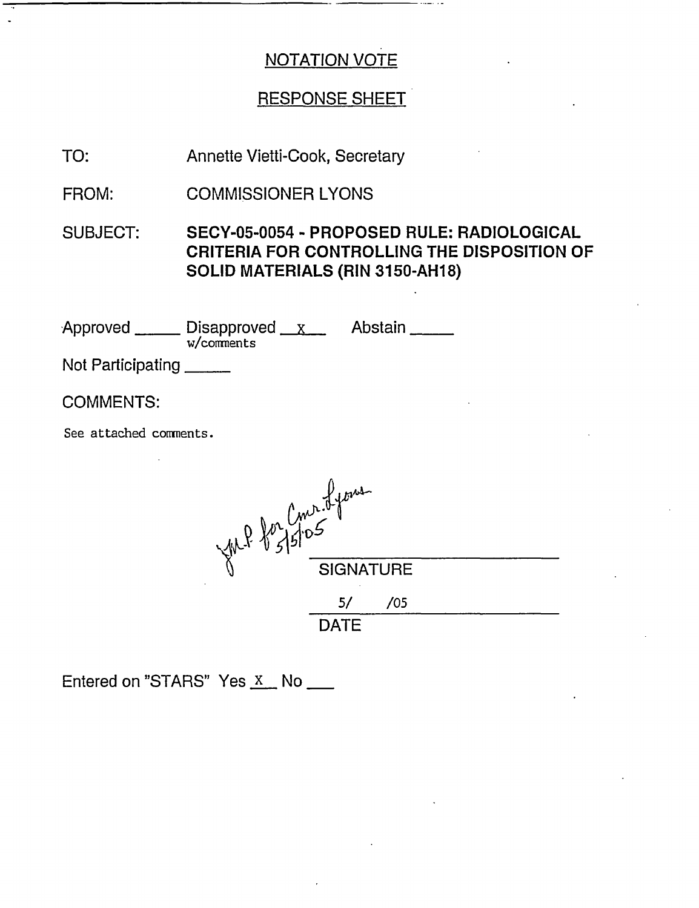# RESPONSE SHEET

TO: Annette Vietti-Cook, Secretary

FROM: COMMISSIONER LYONS

SUBJECT: SECY-05-0054 - PROPOSED RULE: RADIOLOGICAL CRITERIA FOR CONTROLLING THE DISPOSITION OF SOLID MATERIALS (RIN 3150-AH18)

Approved \_\_\_\_\_\_ Disapproved \_\_<u>x</u> w/comments Abstain

Not Participating

COMMENTS:

See attached connents.

| VIL Por Come of former |                  |     |  |
|------------------------|------------------|-----|--|
|                        | <b>SIGNATURE</b> |     |  |
|                        |                  | /05 |  |
|                        | <b>DATE</b>      |     |  |

Entered on "STARS" Yes  $X$  No  $\_\_\_\_\$